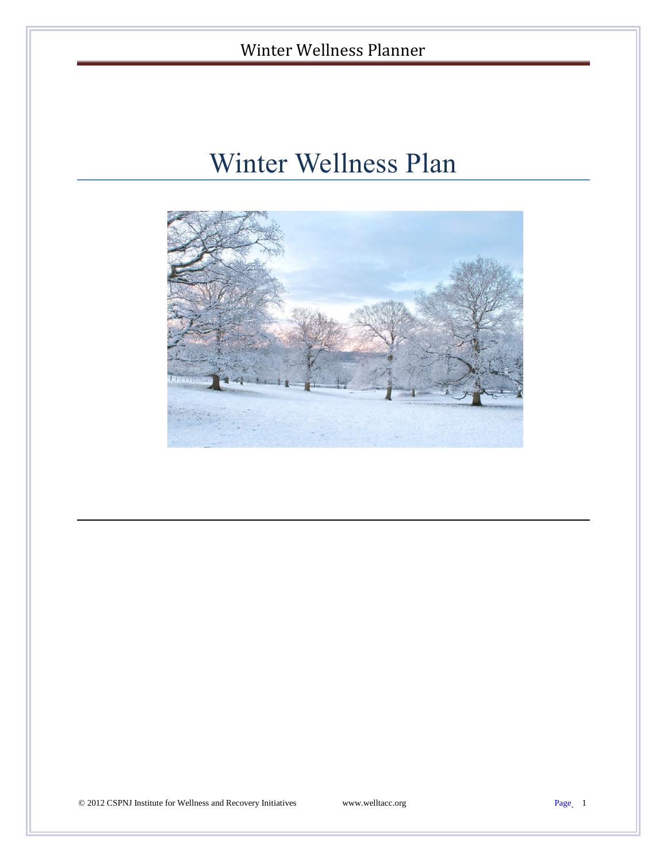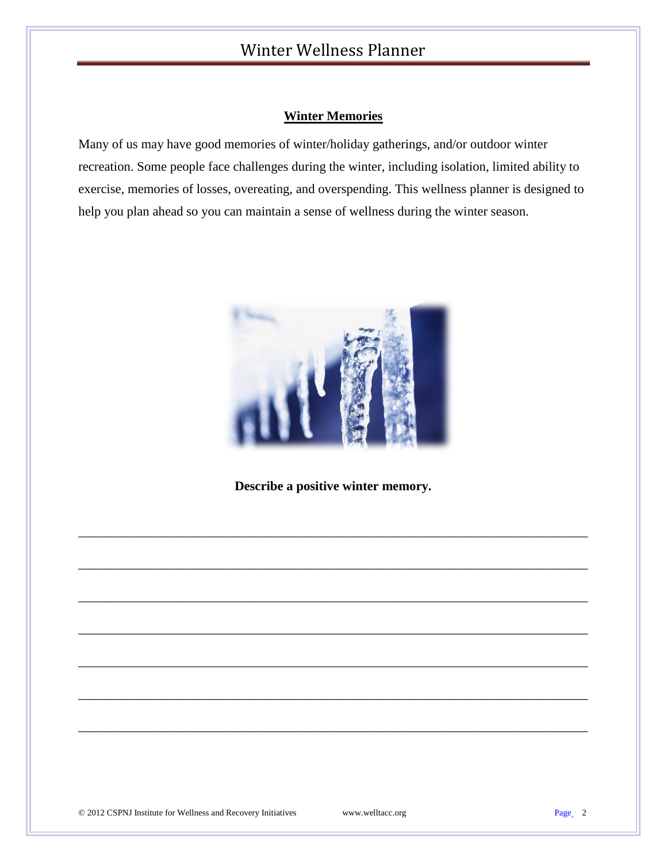#### **Winter Memories**

Many of us may have good memories of winter/holiday gatherings, and/or outdoor winter recreation. Some people face challenges during the winter, including isolation, limited ability to exercise, memories of losses, overeating, and overspending. This wellness planner is designed to help you plan ahead so you can maintain a sense of wellness during the winter season.



**Describe a positive winter memory.** 

\_\_\_\_\_\_\_\_\_\_\_\_\_\_\_\_\_\_\_\_\_\_\_\_\_\_\_\_\_\_\_\_\_\_\_\_\_\_\_\_\_\_\_\_\_\_\_\_\_\_\_\_\_\_\_\_\_\_\_\_\_\_\_\_\_\_\_\_\_\_\_\_\_\_\_\_\_\_

\_\_\_\_\_\_\_\_\_\_\_\_\_\_\_\_\_\_\_\_\_\_\_\_\_\_\_\_\_\_\_\_\_\_\_\_\_\_\_\_\_\_\_\_\_\_\_\_\_\_\_\_\_\_\_\_\_\_\_\_\_\_\_\_\_\_\_\_\_\_\_\_\_\_\_\_\_\_

\_\_\_\_\_\_\_\_\_\_\_\_\_\_\_\_\_\_\_\_\_\_\_\_\_\_\_\_\_\_\_\_\_\_\_\_\_\_\_\_\_\_\_\_\_\_\_\_\_\_\_\_\_\_\_\_\_\_\_\_\_\_\_\_\_\_\_\_\_\_\_\_\_\_\_\_\_\_

\_\_\_\_\_\_\_\_\_\_\_\_\_\_\_\_\_\_\_\_\_\_\_\_\_\_\_\_\_\_\_\_\_\_\_\_\_\_\_\_\_\_\_\_\_\_\_\_\_\_\_\_\_\_\_\_\_\_\_\_\_\_\_\_\_\_\_\_\_\_\_\_\_\_\_\_\_\_

\_\_\_\_\_\_\_\_\_\_\_\_\_\_\_\_\_\_\_\_\_\_\_\_\_\_\_\_\_\_\_\_\_\_\_\_\_\_\_\_\_\_\_\_\_\_\_\_\_\_\_\_\_\_\_\_\_\_\_\_\_\_\_\_\_\_\_\_\_\_\_\_\_\_\_\_\_\_

\_\_\_\_\_\_\_\_\_\_\_\_\_\_\_\_\_\_\_\_\_\_\_\_\_\_\_\_\_\_\_\_\_\_\_\_\_\_\_\_\_\_\_\_\_\_\_\_\_\_\_\_\_\_\_\_\_\_\_\_\_\_\_\_\_\_\_\_\_\_\_\_\_\_\_\_\_\_

\_\_\_\_\_\_\_\_\_\_\_\_\_\_\_\_\_\_\_\_\_\_\_\_\_\_\_\_\_\_\_\_\_\_\_\_\_\_\_\_\_\_\_\_\_\_\_\_\_\_\_\_\_\_\_\_\_\_\_\_\_\_\_\_\_\_\_\_\_\_\_\_\_\_\_\_\_\_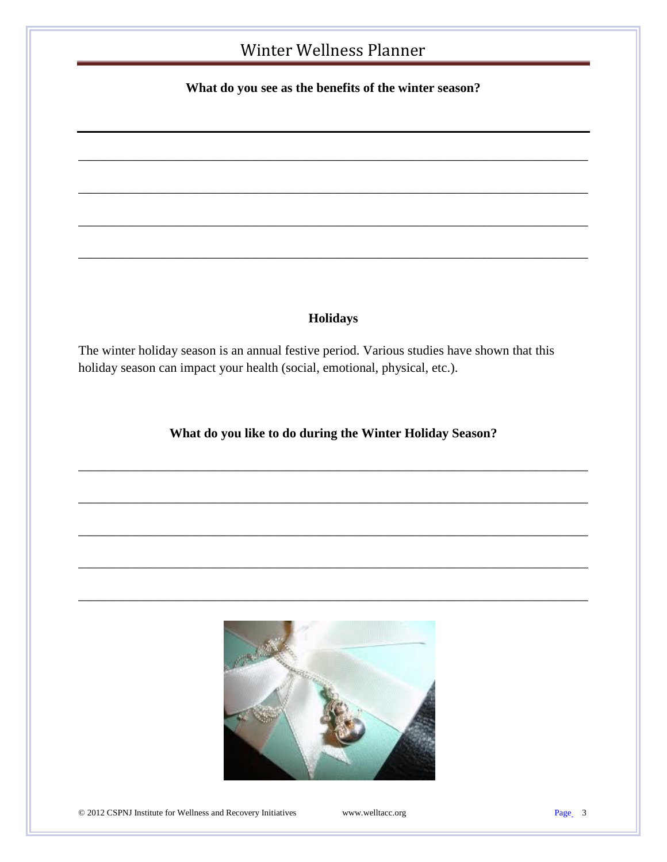**What do you see as the benefits of the winter season?**

\_\_\_\_\_\_\_\_\_\_\_\_\_\_\_\_\_\_\_\_\_\_\_\_\_\_\_\_\_\_\_\_\_\_\_\_\_\_\_\_\_\_\_\_\_\_\_\_\_\_\_\_\_\_\_\_\_\_\_\_\_\_\_\_\_\_\_\_\_\_\_\_\_\_\_\_\_\_

\_\_\_\_\_\_\_\_\_\_\_\_\_\_\_\_\_\_\_\_\_\_\_\_\_\_\_\_\_\_\_\_\_\_\_\_\_\_\_\_\_\_\_\_\_\_\_\_\_\_\_\_\_\_\_\_\_\_\_\_\_\_\_\_\_\_\_\_\_\_\_\_\_\_\_\_\_\_

\_\_\_\_\_\_\_\_\_\_\_\_\_\_\_\_\_\_\_\_\_\_\_\_\_\_\_\_\_\_\_\_\_\_\_\_\_\_\_\_\_\_\_\_\_\_\_\_\_\_\_\_\_\_\_\_\_\_\_\_\_\_\_\_\_\_\_\_\_\_\_\_\_\_\_\_\_\_

\_\_\_\_\_\_\_\_\_\_\_\_\_\_\_\_\_\_\_\_\_\_\_\_\_\_\_\_\_\_\_\_\_\_\_\_\_\_\_\_\_\_\_\_\_\_\_\_\_\_\_\_\_\_\_\_\_\_\_\_\_\_\_\_\_\_\_\_\_\_\_\_\_\_\_\_\_\_

#### **Holidays**

The winter holiday season is an annual festive period. Various studies have shown that this holiday season can impact your health (social, emotional, physical, etc.).

**What do you like to do during the Winter Holiday Season?**

\_\_\_\_\_\_\_\_\_\_\_\_\_\_\_\_\_\_\_\_\_\_\_\_\_\_\_\_\_\_\_\_\_\_\_\_\_\_\_\_\_\_\_\_\_\_\_\_\_\_\_\_\_\_\_\_\_\_\_\_\_\_\_\_\_\_\_\_\_\_\_\_\_\_\_\_\_\_

\_\_\_\_\_\_\_\_\_\_\_\_\_\_\_\_\_\_\_\_\_\_\_\_\_\_\_\_\_\_\_\_\_\_\_\_\_\_\_\_\_\_\_\_\_\_\_\_\_\_\_\_\_\_\_\_\_\_\_\_\_\_\_\_\_\_\_\_\_\_\_\_\_\_\_\_\_\_

\_\_\_\_\_\_\_\_\_\_\_\_\_\_\_\_\_\_\_\_\_\_\_\_\_\_\_\_\_\_\_\_\_\_\_\_\_\_\_\_\_\_\_\_\_\_\_\_\_\_\_\_\_\_\_\_\_\_\_\_\_\_\_\_\_\_\_\_\_\_\_\_\_\_\_\_\_\_

\_\_\_\_\_\_\_\_\_\_\_\_\_\_\_\_\_\_\_\_\_\_\_\_\_\_\_\_\_\_\_\_\_\_\_\_\_\_\_\_\_\_\_\_\_\_\_\_\_\_\_\_\_\_\_\_\_\_\_\_\_\_\_\_\_\_\_\_\_\_\_\_\_\_\_\_\_\_

\_\_\_\_\_\_\_\_\_\_\_\_\_\_\_\_\_\_\_\_\_\_\_\_\_\_\_\_\_\_\_\_\_\_\_\_\_\_\_\_\_\_\_\_\_\_\_\_\_\_\_\_\_\_\_\_\_\_\_\_\_\_\_\_\_\_\_\_\_\_\_\_\_\_\_\_\_\_



© 2012 CSPNJ Institute for Wellness and Recovery Initiatives www.welltacc.org Page 3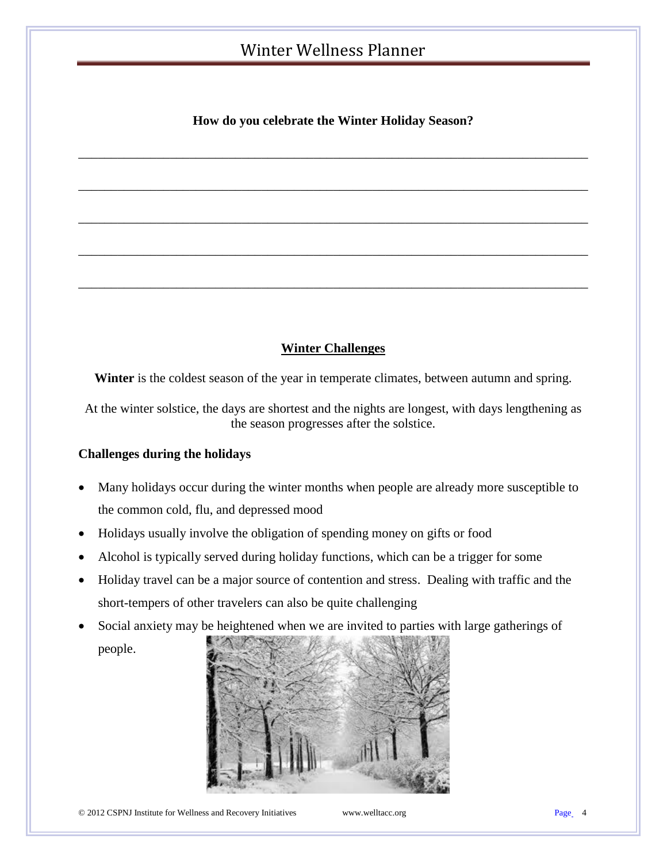#### **How do you celebrate the Winter Holiday Season?**

\_\_\_\_\_\_\_\_\_\_\_\_\_\_\_\_\_\_\_\_\_\_\_\_\_\_\_\_\_\_\_\_\_\_\_\_\_\_\_\_\_\_\_\_\_\_\_\_\_\_\_\_\_\_\_\_\_\_\_\_\_\_\_\_\_\_\_\_\_\_\_\_\_\_\_\_\_\_

\_\_\_\_\_\_\_\_\_\_\_\_\_\_\_\_\_\_\_\_\_\_\_\_\_\_\_\_\_\_\_\_\_\_\_\_\_\_\_\_\_\_\_\_\_\_\_\_\_\_\_\_\_\_\_\_\_\_\_\_\_\_\_\_\_\_\_\_\_\_\_\_\_\_\_\_\_\_

\_\_\_\_\_\_\_\_\_\_\_\_\_\_\_\_\_\_\_\_\_\_\_\_\_\_\_\_\_\_\_\_\_\_\_\_\_\_\_\_\_\_\_\_\_\_\_\_\_\_\_\_\_\_\_\_\_\_\_\_\_\_\_\_\_\_\_\_\_\_\_\_\_\_\_\_\_\_

\_\_\_\_\_\_\_\_\_\_\_\_\_\_\_\_\_\_\_\_\_\_\_\_\_\_\_\_\_\_\_\_\_\_\_\_\_\_\_\_\_\_\_\_\_\_\_\_\_\_\_\_\_\_\_\_\_\_\_\_\_\_\_\_\_\_\_\_\_\_\_\_\_\_\_\_\_\_

\_\_\_\_\_\_\_\_\_\_\_\_\_\_\_\_\_\_\_\_\_\_\_\_\_\_\_\_\_\_\_\_\_\_\_\_\_\_\_\_\_\_\_\_\_\_\_\_\_\_\_\_\_\_\_\_\_\_\_\_\_\_\_\_\_\_\_\_\_\_\_\_\_\_\_\_\_\_

#### **Winter Challenges**

Winter is the coldest season of the year in temperate climates, between autumn and spring.

At the winter solstice, the days are shortest and the nights are longest, with days lengthening as the season progresses after the solstice.

#### **Challenges during the holidays**

- Many holidays occur during the winter months when people are already more susceptible to the common cold, flu, and depressed mood
- Holidays usually involve the obligation of spending money on gifts or food
- Alcohol is typically served during holiday functions, which can be a trigger for some
- Holiday travel can be a major source of contention and stress. Dealing with traffic and the short-tempers of other travelers can also be quite challenging
- Social anxiety may be heightened when we are invited to parties with large gatherings of people.

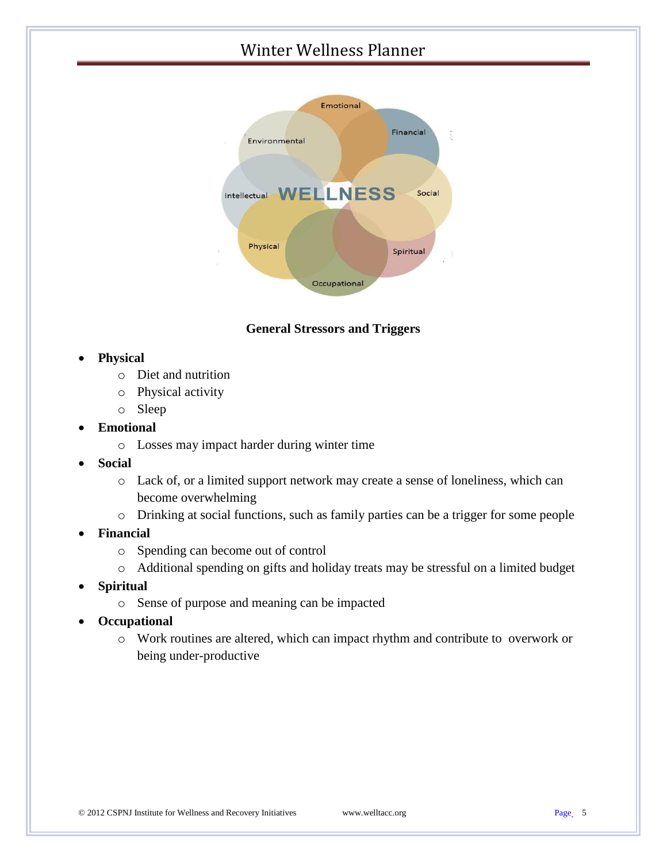

#### **General Stressors and Triggers**

#### **Physical**

- o Diet and nutrition
- o Physical activity
- o Sleep

#### **Emotional**

- o Losses may impact harder during winter time
- **Social**
	- o Lack of, or a limited support network may create a sense of loneliness, which can become overwhelming
	- o Drinking at social functions, such as family parties can be a trigger for some people
- **Financial**
	- o Spending can become out of control
	- o Additional spending on gifts and holiday treats may be stressful on a limited budget
- **Spiritual**
	- o Sense of purpose and meaning can be impacted
- **Occupational**
	- o Work routines are altered, which can impact rhythm and contribute to overwork or being under-productive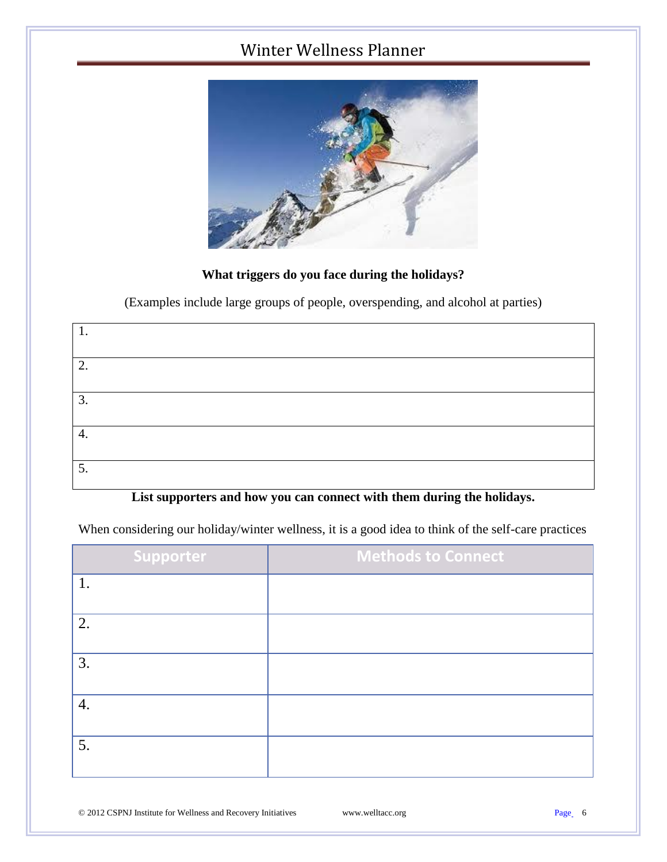

#### **What triggers do you face during the holidays?**

(Examples include large groups of people, overspending, and alcohol at parties)

| 1. |  |  |
|----|--|--|
|    |  |  |
| 2. |  |  |
|    |  |  |
| 3. |  |  |
|    |  |  |
| 4. |  |  |
|    |  |  |
| 5. |  |  |
|    |  |  |

#### **List supporters and how you can connect with them during the holidays.**

When considering our holiday/winter wellness, it is a good idea to think of the self-care practices

| <b>Supporter</b> | <b>Methods to Connect</b> |
|------------------|---------------------------|
|                  |                           |
| 2.               |                           |
| 3.               |                           |
| 4.               |                           |
| 5.               |                           |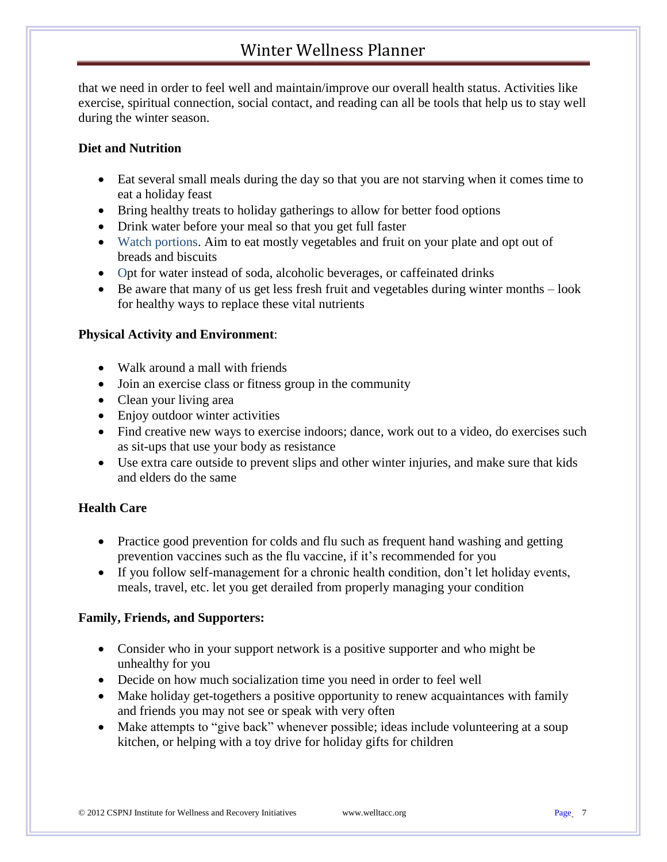that we need in order to feel well and maintain/improve our overall health status. Activities like exercise, spiritual connection, social contact, and reading can all be tools that help us to stay well during the winter season.

#### **Diet and Nutrition**

- Eat several small meals during the day so that you are not starving when it comes time to eat a holiday feast
- Bring healthy treats to holiday gatherings to allow for better food options
- Drink water before your meal so that you get full faster
- Watch portions. Aim to eat mostly vegetables and fruit on your plate and opt out of breads and biscuits
- Opt for water instead of soda, alcoholic beverages, or caffeinated drinks
- Be aware that many of us get less fresh fruit and vegetables during winter months look for healthy ways to replace these vital nutrients

#### **Physical Activity and Environment**:

- Walk around a mall with friends
- Join an exercise class or fitness group in the community
- Clean your living area
- Enjoy outdoor winter activities
- Find creative new ways to exercise indoors; dance, work out to a video, do exercises such as sit-ups that use your body as resistance
- Use extra care outside to prevent slips and other winter injuries, and make sure that kids and elders do the same

#### **Health Care**

- Practice good prevention for colds and flu such as frequent hand washing and getting prevention vaccines such as the flu vaccine, if it's recommended for you
- If you follow self-management for a chronic health condition, don't let holiday events, meals, travel, etc. let you get derailed from properly managing your condition

#### **Family, Friends, and Supporters:**

- Consider who in your support network is a positive supporter and who might be unhealthy for you
- Decide on how much socialization time you need in order to feel well
- Make holiday get-togethers a positive opportunity to renew acquaintances with family and friends you may not see or speak with very often
- Make attempts to "give back" whenever possible; ideas include volunteering at a soup kitchen, or helping with a toy drive for holiday gifts for children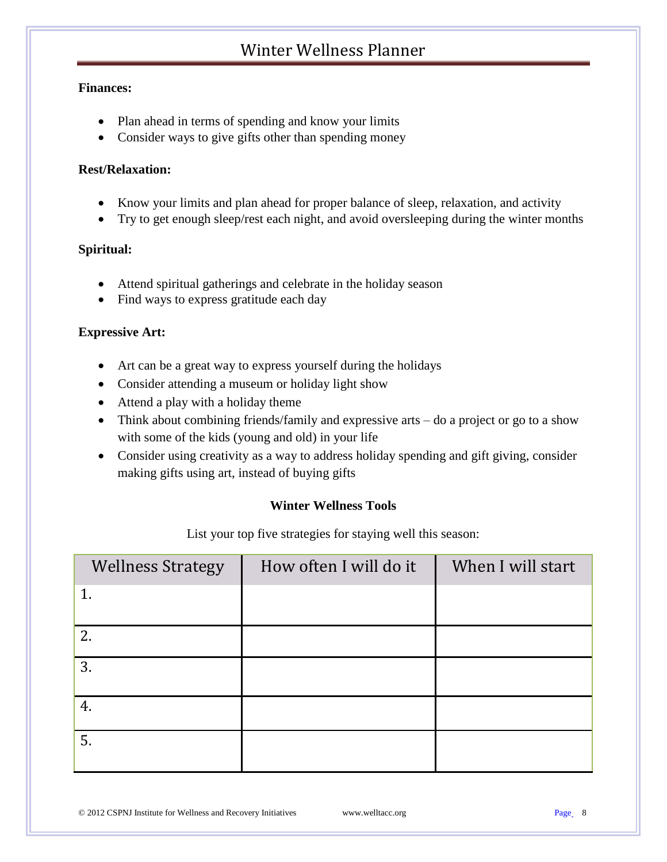#### **Finances:**

- Plan ahead in terms of spending and know your limits
- Consider ways to give gifts other than spending money

#### **Rest/Relaxation:**

- Know your limits and plan ahead for proper balance of sleep, relaxation, and activity
- Try to get enough sleep/rest each night, and avoid oversleeping during the winter months

#### **Spiritual:**

- Attend spiritual gatherings and celebrate in the holiday season
- Find ways to express gratitude each day

#### **Expressive Art:**

- Art can be a great way to express yourself during the holidays
- Consider attending a museum or holiday light show
- Attend a play with a holiday theme
- Think about combining friends/family and expressive arts do a project or go to a show with some of the kids (young and old) in your life
- Consider using creativity as a way to address holiday spending and gift giving, consider making gifts using art, instead of buying gifts

#### **Winter Wellness Tools**

List your top five strategies for staying well this season:

| How often I will do it | When I will start |
|------------------------|-------------------|
|                        |                   |
|                        |                   |
|                        |                   |
|                        |                   |
|                        |                   |
|                        |                   |
|                        |                   |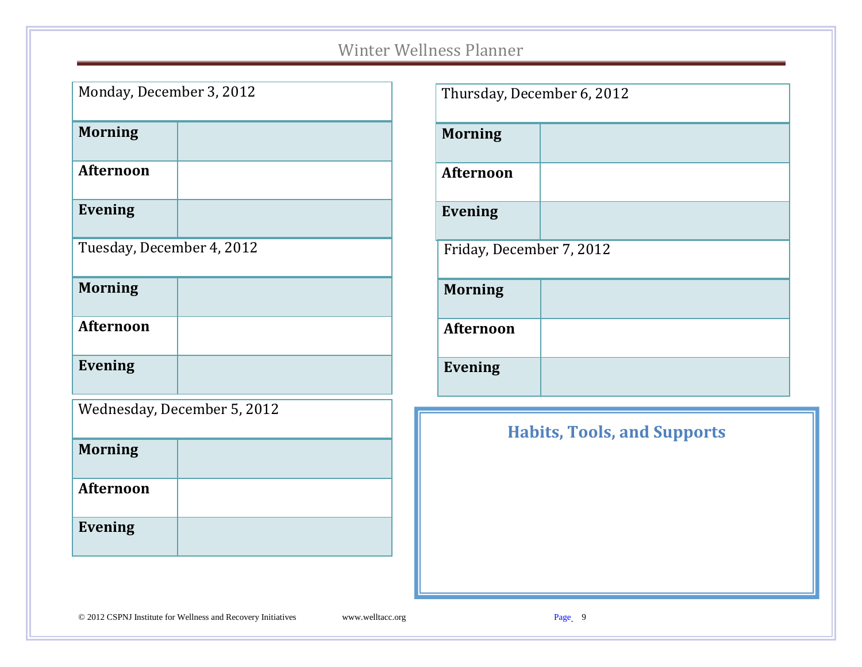| Monday, December 3, 2012  |                             |
|---------------------------|-----------------------------|
| <b>Morning</b>            |                             |
| <b>Afternoon</b>          |                             |
| <b>Evening</b>            |                             |
| Tuesday, December 4, 2012 |                             |
| <b>Morning</b>            |                             |
| <b>Afternoon</b>          |                             |
| <b>Evening</b>            |                             |
|                           | Wednesday, December 5, 2012 |
| <b>Morning</b>            |                             |
| <b>Afternoon</b>          |                             |
| <b>Evening</b>            |                             |

| Thursday, December 6, 2012 |  |
|----------------------------|--|
| <b>Morning</b>             |  |
| <b>Afternoon</b>           |  |
| <b>Evening</b>             |  |
| Friday, December 7, 2012   |  |
| <b>Morning</b>             |  |
| <b>Afternoon</b>           |  |
| <b>Evening</b>             |  |

# **Habits, Tools, and Supports**

#### © 2012 CSPNJ Institute for Wellness and Recovery Initiatives www.welltacc.org Page 9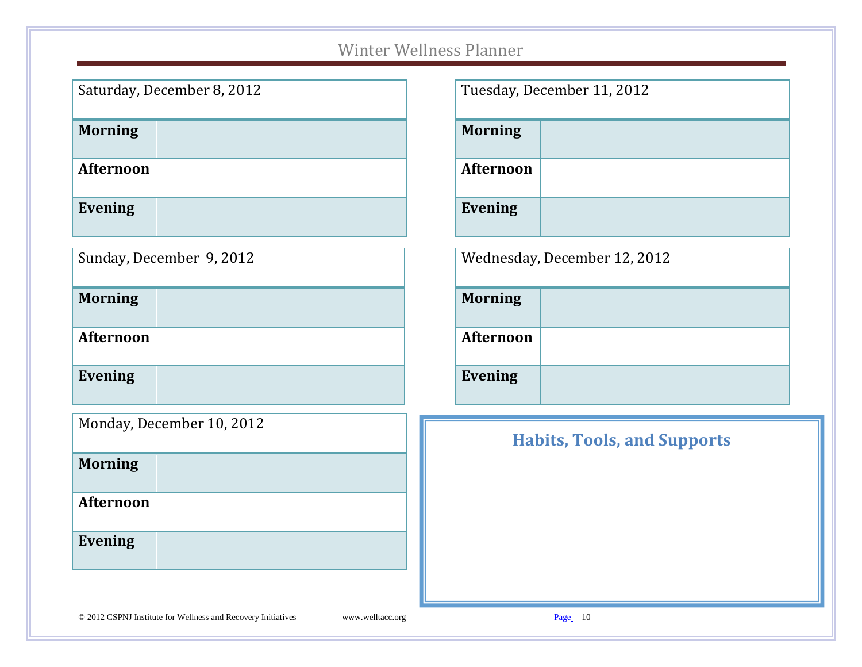|                  | Saturday, December 8, 2012 |
|------------------|----------------------------|
| <b>Morning</b>   |                            |
| <b>Afternoon</b> |                            |
| Evening          |                            |

|                | Sunday, December 9, 2012 |
|----------------|--------------------------|
| <b>Morning</b> |                          |

**Evening**

|                  | Tuesday, December 11, 2012 |
|------------------|----------------------------|
| <b>Morning</b>   |                            |
| <b>Afternoon</b> |                            |
| <b>Evening</b>   |                            |

| Wednesday, December 12, 2012 |  |  |  |
|------------------------------|--|--|--|
|------------------------------|--|--|--|

| <b>Morning</b> |  |
|----------------|--|
| Afternoon      |  |
| <b>Evening</b> |  |

| Monday, December 10, 2012 |
|---------------------------|
|---------------------------|

| <b>Morning</b>   |  |
|------------------|--|
| <b>Afternoon</b> |  |
| <b>Evening</b>   |  |
|                  |  |

# **Habits, Tools, and Supports**

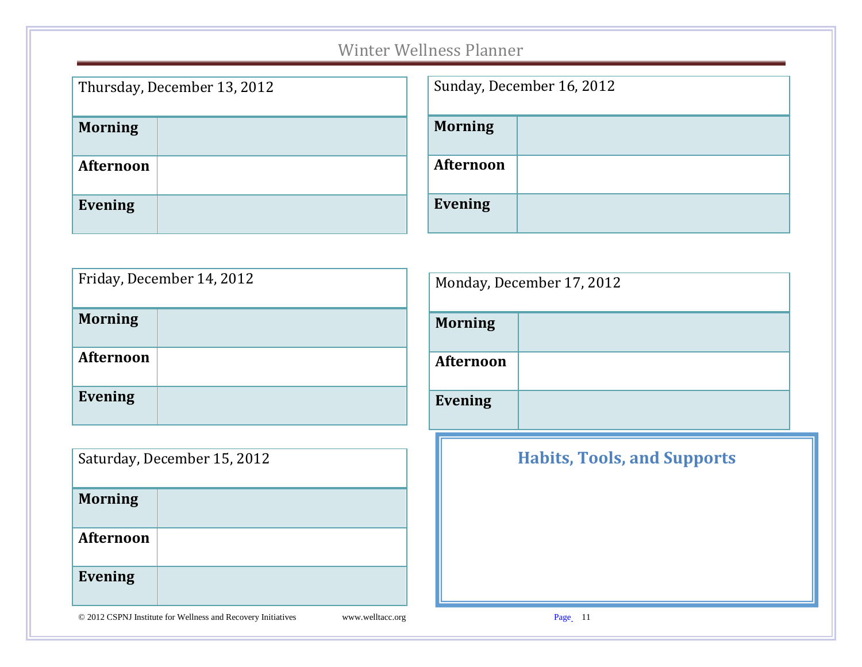| Thursday, December 13, 2012 |  |
|-----------------------------|--|
| <b>Morning</b>              |  |
| <b>Afternoon</b>            |  |
| <b>Evening</b>              |  |

| Sunday, December 16, 2012 |  |
|---------------------------|--|
| <b>Morning</b>            |  |
| <b>Afternoon</b>          |  |
| <b>Evening</b>            |  |

| Friday, December 14, 2012 |  |
|---------------------------|--|
| <b>Morning</b>            |  |
| <b>Afternoon</b>          |  |
| <b>Evening</b>            |  |

| Saturday, December 15, 2012 |  |
|-----------------------------|--|
| <b>Morning</b>              |  |
| <b>Afternoon</b>            |  |
| <b>Evening</b>              |  |

|                  | Monday, December 17, 2012          |  |
|------------------|------------------------------------|--|
| <b>Morning</b>   |                                    |  |
| <b>Afternoon</b> |                                    |  |
| <b>Evening</b>   |                                    |  |
|                  | <b>Habits, Tools, and Supports</b> |  |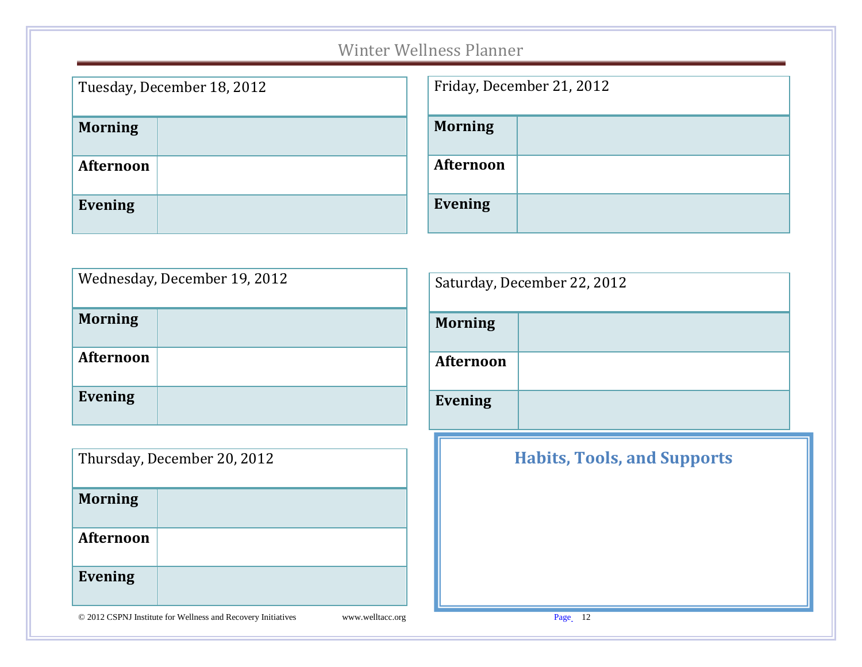| Tuesday, December 18, 2012 |  |
|----------------------------|--|
| <b>Morning</b>             |  |
| <b>Afternoon</b>           |  |
| <b>Evening</b>             |  |

| Friday, December 21, 2012 |  |
|---------------------------|--|
| <b>Morning</b>            |  |
| <b>Afternoon</b>          |  |
| <b>Evening</b>            |  |

| Wednesday, December 19, 2012 |  |
|------------------------------|--|
| <b>Morning</b>               |  |
| <b>Afternoon</b>             |  |
| <b>Evening</b>               |  |

| Thursday, December 20, 2012 |  |
|-----------------------------|--|
| <b>Morning</b>              |  |
| <b>Afternoon</b>            |  |
| <b>Evening</b>              |  |

| Saturday, December 22, 2012 |                                    |  |
|-----------------------------|------------------------------------|--|
| <b>Morning</b>              |                                    |  |
| <b>Afternoon</b>            |                                    |  |
| <b>Evening</b>              |                                    |  |
|                             | <b>Habits, Tools, and Supports</b> |  |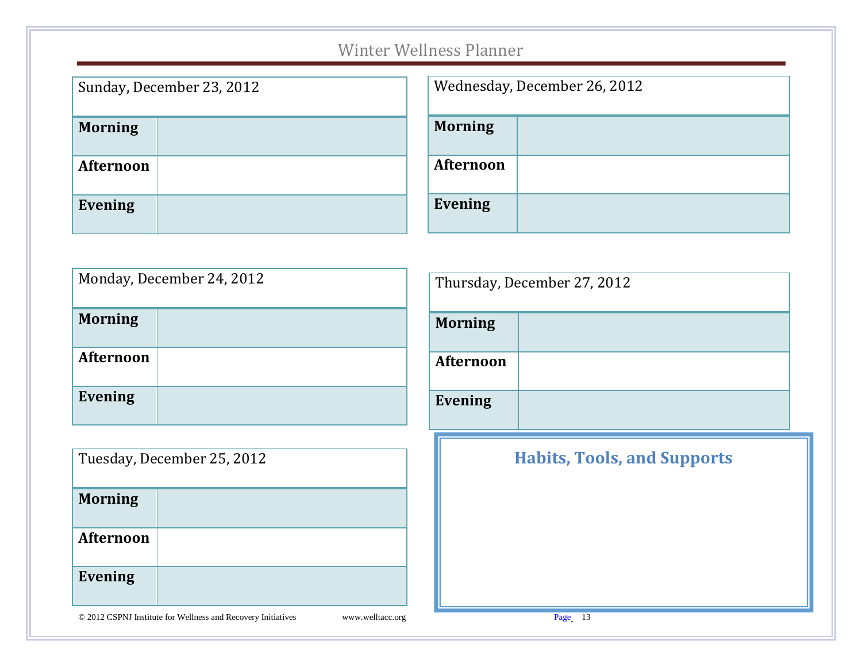| Sunday, December 23, 2012 |  |
|---------------------------|--|
| <b>Morning</b>            |  |
| <b>Afternoon</b>          |  |
| <b>Evening</b>            |  |

| Wednesday, December 26, 2012 |  |  |
|------------------------------|--|--|
| <b>Morning</b>               |  |  |
| <b>Afternoon</b>             |  |  |
| <b>Evening</b>               |  |  |

| Monday, December 24, 2012 |  |  |  |
|---------------------------|--|--|--|
| <b>Morning</b>            |  |  |  |
| <b>Afternoon</b>          |  |  |  |
| <b>Evening</b>            |  |  |  |

| Tuesday, December 25, 2012 |  |  |
|----------------------------|--|--|
| <b>Morning</b>             |  |  |
| <b>Afternoon</b>           |  |  |
| <b>Evening</b>             |  |  |

| Thursday, December 27, 2012 |                                    |  |  |
|-----------------------------|------------------------------------|--|--|
| <b>Morning</b>              |                                    |  |  |
| <b>Afternoon</b>            |                                    |  |  |
| <b>Evening</b>              |                                    |  |  |
|                             | <b>Habits, Tools, and Supports</b> |  |  |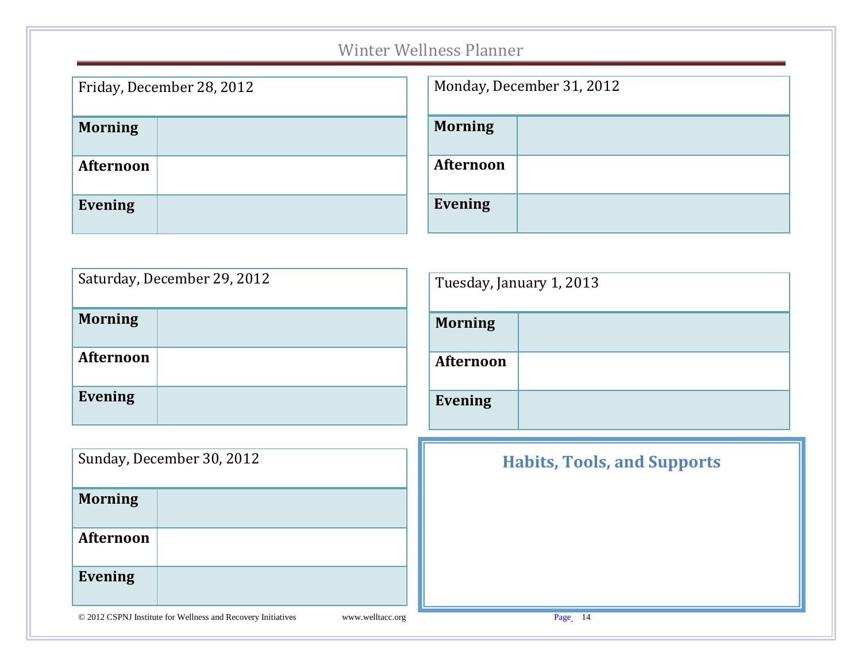| Friday, December 28, 2012 |  |  |  |
|---------------------------|--|--|--|
| <b>Morning</b>            |  |  |  |
| <b>Afternoon</b>          |  |  |  |
| <b>Evening</b>            |  |  |  |

| Monday, December 31, 2012 |  |  |
|---------------------------|--|--|
| <b>Morning</b>            |  |  |
| <b>Afternoon</b>          |  |  |
| <b>Evening</b>            |  |  |

|                           | Saturday, December 29, 2012                                  |                  | Tuesday, January 1, 2013 |                                    |
|---------------------------|--------------------------------------------------------------|------------------|--------------------------|------------------------------------|
| <b>Morning</b>            |                                                              |                  | <b>Morning</b>           |                                    |
| <b>Afternoon</b>          |                                                              |                  | Afternoon                |                                    |
| <b>Evening</b>            |                                                              |                  | Evening                  |                                    |
|                           |                                                              |                  |                          |                                    |
| Sunday, December 30, 2012 |                                                              |                  |                          | <b>Habits, Tools, and Supports</b> |
| <b>Morning</b>            |                                                              |                  |                          |                                    |
| Afternoon                 |                                                              |                  |                          |                                    |
| <b>Evening</b>            |                                                              |                  |                          |                                    |
|                           | © 2012 CSPNJ Institute for Wellness and Recovery Initiatives | www.welltacc.org |                          | Page 14                            |